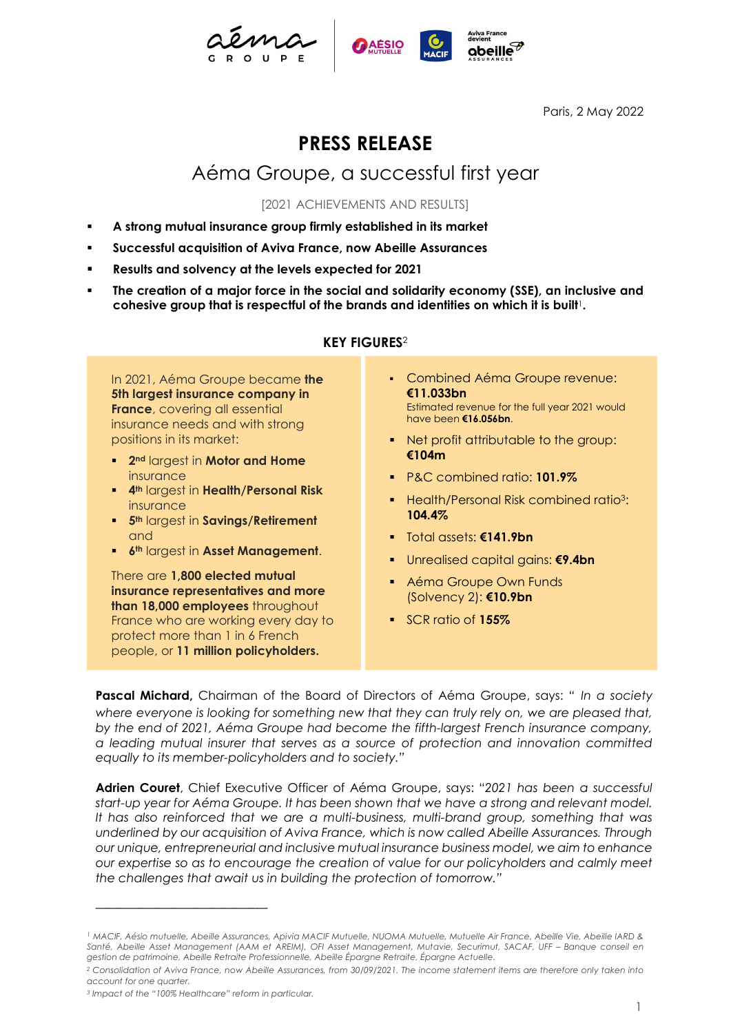





Paris, 2 May 2022

# PRESS RELEASE

# Aéma Groupe, a successful first year

[2021 ACHIEVEMENTS AND RESULTS]

- A strong mutual insurance group firmly established in its market
- Successful acquisition of Aviva France, now Abeille Assurances
- Results and solvency at the levels expected for 2021
- The creation of a major force in the social and solidarity economy (SSE), an inclusive and cohesive group that is respectful of the brands and identities on which it is built<sup>1</sup>.

### KEY FIGURES<sup>2</sup>

In 2021, Aéma Groupe became the 5th largest insurance company in **France**, covering all essential insurance needs and with strong positions in its market:

- **2nd largest in Motor and Home** insurance
- **4th largest in Health/Personal Risk** insurance
- **5th largest in Savings/Retirement** and
- **6th largest in Asset Management.**

There are 1.800 elected mutual insurance representatives and more than 18,000 employees throughout France who are working every day to protect more than 1 in 6 French people, or 11 million policyholders.

- Combined Aéma Groupe revenue: €11.033bn Estimated revenue for the full year 2021 would have been €16.056bn.
- Net profit attributable to the group: €104m
- P&C combined ratio: 101.9%
- Health/Personal Risk combined ratio<sup>3</sup>: 104.4%
- Total assets: €141.9bn
- Unrealised capital gains: **€9.4bn**
- **Aéma Groupe Own Funds** (Solvency 2): €10.9bn
- SCR ratio of 155%

Pascal Michard, Chairman of the Board of Directors of Aéma Groupe, says: " In a society where everyone is looking for something new that they can truly rely on, we are pleased that, by the end of 2021, Aéma Groupe had become the fifth-largest French insurance company, a leading mutual insurer that serves as a source of protection and innovation committed equally to its member-policyholders and to society."

Adrien Couret, Chief Executive Officer of Aéma Groupe, says: "2021 has been a successful start-up year for Aéma Groupe. It has been shown that we have a strong and relevant model. It has also reinforced that we are a multi-business, multi-brand group, something that was underlined by our acquisition of Aviva France, which is now called Abeille Assurances. Through our unique, entrepreneurial and inclusive mutual insurance business model, we aim to enhance our expertise so as to encourage the creation of value for our policyholders and calmly meet the challenges that await us in building the protection of tomorrow."

––––––––––––––––––––––––––––

<sup>1</sup> MACIF, Aésio mutuelle, Abeille Assurances, Apivia MACIF Mutuelle, NUOMA Mutuelle, Mutuelle Air France, Abeille Vie, Abeille IARD & Santé, Abeille Asset Management (AAM et AREIM), OFI Asset Management, Mutavie, Securimut, SACAF, UFF – Banque conseil en gestion de patrimoine, Abeille Retraite Professionnelle, Abeille Épargne Retraite, Épargne Actuelle.

<sup>2</sup> Consolidation of Aviva France, now Abeille Assurances, from 30/09/2021. The income statement items are therefore only taken into account for one quarter.

<sup>3</sup> Impact of the "100% Healthcare" reform in particular.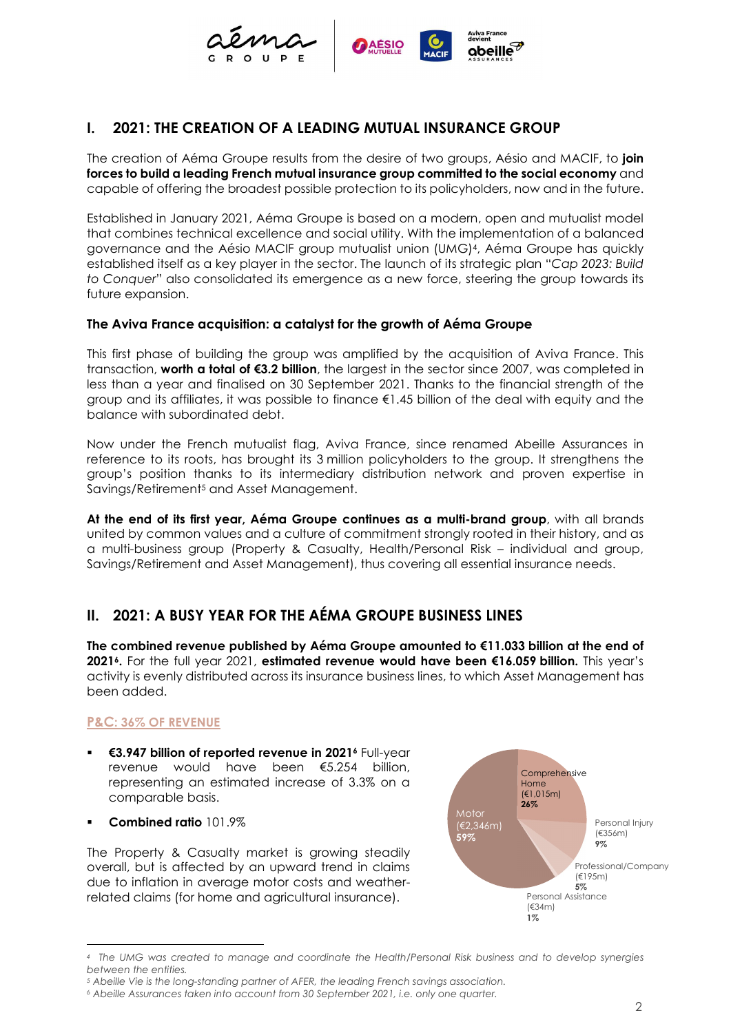

# I. 2021: THE CREATION OF A LEADING MUTUAL INSURANCE GROUP

The creation of Aéma Groupe results from the desire of two groups, Aésio and MACIF, to **join** forces to build a leading French mutual insurance group committed to the social economy and capable of offering the broadest possible protection to its policyholders, now and in the future.

Established in January 2021, Aéma Groupe is based on a modern, open and mutualist model that combines technical excellence and social utility. With the implementation of a balanced governance and the Aésio MACIF group mutualist union (UMG)4, Aéma Groupe has quickly established itself as a key player in the sector. The launch of its strategic plan "Cap 2023: Build to Conquer" also consolidated its emergence as a new force, steering the group towards its future expansion.

#### The Aviva France acquisition: a catalyst for the growth of Aéma Groupe

This first phase of building the group was amplified by the acquisition of Aviva France. This transaction, worth a total of €3.2 billion, the largest in the sector since 2007, was completed in less than a year and finalised on 30 September 2021. Thanks to the financial strength of the group and its affiliates, it was possible to finance €1.45 billion of the deal with equity and the balance with subordinated debt.

Now under the French mutualist flag, Aviva France, since renamed Abeille Assurances in reference to its roots, has brought its 3 million policyholders to the group. It strengthens the group's position thanks to its intermediary distribution network and proven expertise in Savings/Retirement5 and Asset Management.

At the end of its first year, Aéma Groupe continues as a multi-brand group, with all brands united by common values and a culture of commitment strongly rooted in their history, and as a multi-business group (Property & Casualty, Health/Personal Risk – individual and group, Savings/Retirement and Asset Management), thus covering all essential insurance needs.

## II. 2021: A BUSY YEAR FOR THE AÉMA GROUPE BUSINESS LINES

The combined revenue published by Aéma Groupe amounted to €11.033 billion at the end of 2021<sup>6</sup>. For the full year 2021, estimated revenue would have been €16.059 billion. This year's activity is evenly distributed across its insurance business lines, to which Asset Management has been added.

### P&C: 36% OF REVENUE

- €3.947 billion of reported revenue in 2021<sup>6</sup> Full-year revenue would have been €5.254 billion, representing an estimated increase of 3.3% on a comparable basis.
- Combined ratio 101.9%

The Property & Casualty market is growing steadily overall, but is affected by an upward trend in claims due to inflation in average motor costs and weatherrelated claims (for home and agricultural insurance).



<sup>4</sup> The UMG was created to manage and coordinate the Health/Personal Risk business and to develop synergies between the entities.

<sup>5</sup> Abeille Vie is the long-standing partner of AFER, the leading French savings association.

<sup>6</sup> Abeille Assurances taken into account from 30 September 2021, i.e. only one quarter.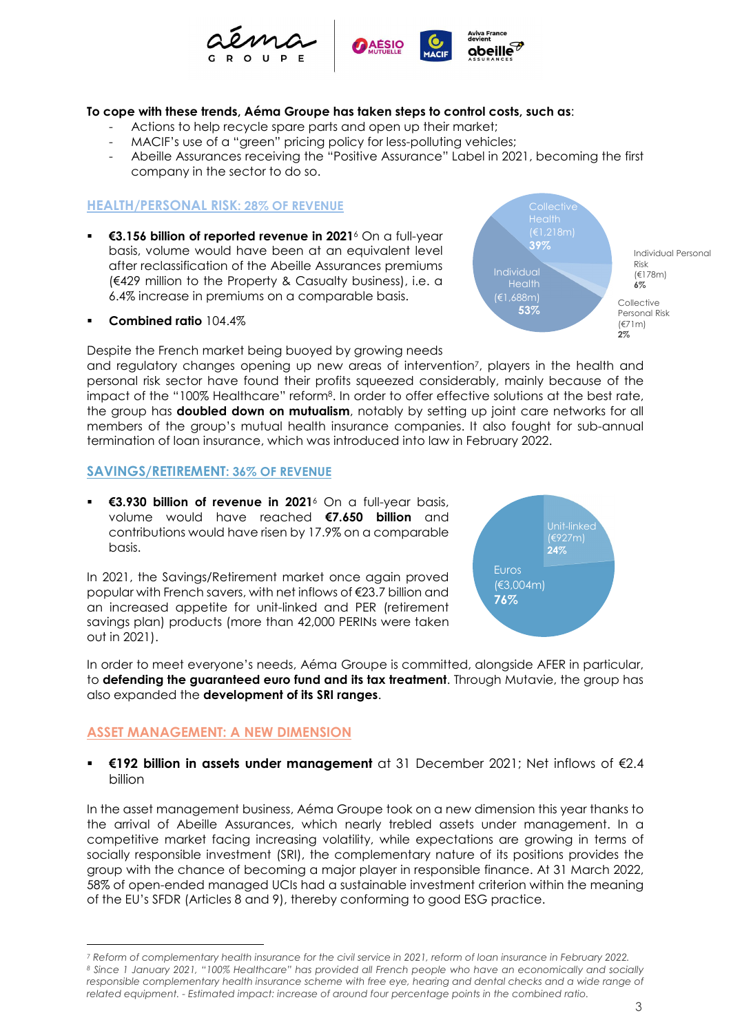

#### To cope with these trends, Aéma Groupe has taken steps to control costs, such as:

- Actions to help recycle spare parts and open up their market;
- MACIF's use of a "green" pricing policy for less-polluting vehicles;
- Abeille Assurances receiving the "Positive Assurance" Label in 2021, becoming the first company in the sector to do so.

#### HEALTH/PERSONAL RISK: 28% OF REVENUE

- **€3.156 billion of reported revenue in 2021**<sup>6</sup> On a full-year basis, volume would have been at an equivalent level after reclassification of the Abeille Assurances premiums (€429 million to the Property & Casualty business), i.e. a 6.4% increase in premiums on a comparable basis.
- Combined ratio 104.4%

Despite the French market being buoyed by growing needs

and regulatory changes opening up new areas of intervention7, players in the health and personal risk sector have found their profits squeezed considerably, mainly because of the impact of the "100% Healthcare" reform8. In order to offer effective solutions at the best rate, the group has **doubled down on mutualism**, notably by setting up joint care networks for all members of the group's mutual health insurance companies. It also fought for sub-annual termination of loan insurance, which was introduced into law in February 2022.

#### SAVINGS/RETIREMENT: 36% OF REVENUE

 €3.930 billion of revenue in 20216 On a full-year basis, volume would have reached €7.650 billion and contributions would have risen by 17.9% on a comparable basis.

In 2021, the Savings/Retirement market once again proved popular with French savers, with net inflows of €23.7 billion and an increased appetite for unit-linked and PER (retirement savings plan) products (more than 42,000 PERINs were taken out in 2021).



Individual

Health **6%** 

 $(E1,218m)$ 

**Collective Collective Collective** 

53% Personal Risk

39%

Risk

6%

Health **Executive Structure of the Structure Structure of the Structure of the Structure of the Structure of the Structure of the Structure of the Structure of the Structure of the Structure of the Structure of the Structu** 

(€178m)

Collective (€71m)  $2\%$ 

Individual Personal

In order to meet everyone's needs, Aéma Groupe is committed, alongside AFER in particular, to defending the guaranteed euro fund and its tax treatment. Through Mutavie, the group has also expanded the development of its SRI ranges.

#### ASSET MANAGEMENT: A NEW DIMENSION

#### €192 billion in assets under management at 31 December 2021; Net inflows of €2.4 billion

In the asset management business, Aéma Groupe took on a new dimension this year thanks to the arrival of Abeille Assurances, which nearly trebled assets under management. In a competitive market facing increasing volatility, while expectations are growing in terms of socially responsible investment (SRI), the complementary nature of its positions provides the group with the chance of becoming a major player in responsible finance. At 31 March 2022, 58% of open-ended managed UCIs had a sustainable investment criterion within the meaning of the EU's SFDR (Articles 8 and 9), thereby conforming to good ESG practice.

<sup>7</sup> Reform of complementary health insurance for the civil service in 2021, reform of loan insurance in February 2022. 8 Since 1 January 2021, "100% Healthcare" has provided all French people who have an economically and socially responsible complementary health insurance scheme with free eye, hearing and dental checks and a wide range of related equipment. - Estimated impact: increase of around four percentage points in the combined ratio.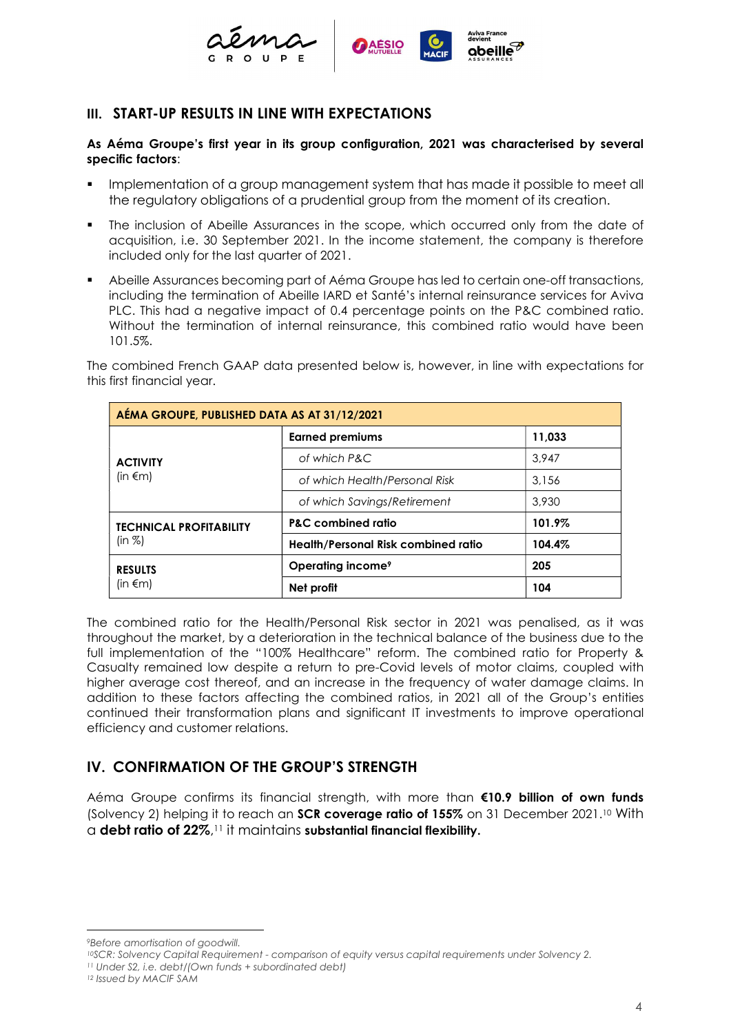

### III. START-UP RESULTS IN LINE WITH EXPECTATIONS

#### As Aéma Groupe's first year in its group configuration, 2021 was characterised by several specific factors:

- Implementation of a group management system that has made it possible to meet all the regulatory obligations of a prudential group from the moment of its creation.
- The inclusion of Abeille Assurances in the scope, which occurred only from the date of acquisition, i.e. 30 September 2021. In the income statement, the company is therefore included only for the last quarter of 2021.
- Abeille Assurances becoming part of Aéma Groupe has led to certain one-off transactions, including the termination of Abeille IARD et Santé's internal reinsurance services for Aviva PLC. This had a negative impact of 0.4 percentage points on the P&C combined ratio. Without the termination of internal reinsurance, this combined ratio would have been 101.5%.

The combined French GAAP data presented below is, however, in line with expectations for this first financial year.

| AÉMA GROUPE, PUBLISHED DATA AS AT 31/12/2021 |                                     |        |  |
|----------------------------------------------|-------------------------------------|--------|--|
| <b>ACTIVITY</b><br>(in $\epsilon$ m)         | <b>Earned premiums</b>              | 11,033 |  |
|                                              | of which P&C                        | 3.947  |  |
|                                              | of which Health/Personal Risk       | 3.156  |  |
|                                              | of which Savings/Retirement         | 3,930  |  |
| <b>TECHNICAL PROFITABILITY</b><br>(in %)     | <b>P&amp;C</b> combined ratio       | 101.9% |  |
|                                              | Health/Personal Risk combined ratio | 104.4% |  |
| <b>RESULTS</b><br>(in $\epsilon$ m)          | Operating income <sup>9</sup>       | 205    |  |
|                                              | Net profit                          | 104    |  |

The combined ratio for the Health/Personal Risk sector in 2021 was penalised, as it was throughout the market, by a deterioration in the technical balance of the business due to the full implementation of the "100% Healthcare" reform. The combined ratio for Property & Casualty remained low despite a return to pre-Covid levels of motor claims, coupled with higher average cost thereof, and an increase in the frequency of water damage claims. In addition to these factors affecting the combined ratios, in 2021 all of the Group's entities continued their transformation plans and significant IT investments to improve operational efficiency and customer relations.

## IV. CONFIRMATION OF THE GROUP'S STRENGTH

Aéma Groupe confirms its financial strength, with more than €10.9 billion of own funds (Solvency 2) helping it to reach an **SCR coverage ratio of 155%** on 31 December 2021.<sup>10</sup> With  $\alpha$  debt ratio of 22%, $^{11}$  it maintains substantial financial flexibility.

<sup>9</sup>Before amortisation of goodwill.

<sup>10</sup>SCR: Solvency Capital Requirement - comparison of equity versus capital requirements under Solvency 2. <sup>11</sup> Under S2, i.e. debt/(Own funds + subordinated debt)

<sup>12</sup> Issued by MACIF SAM